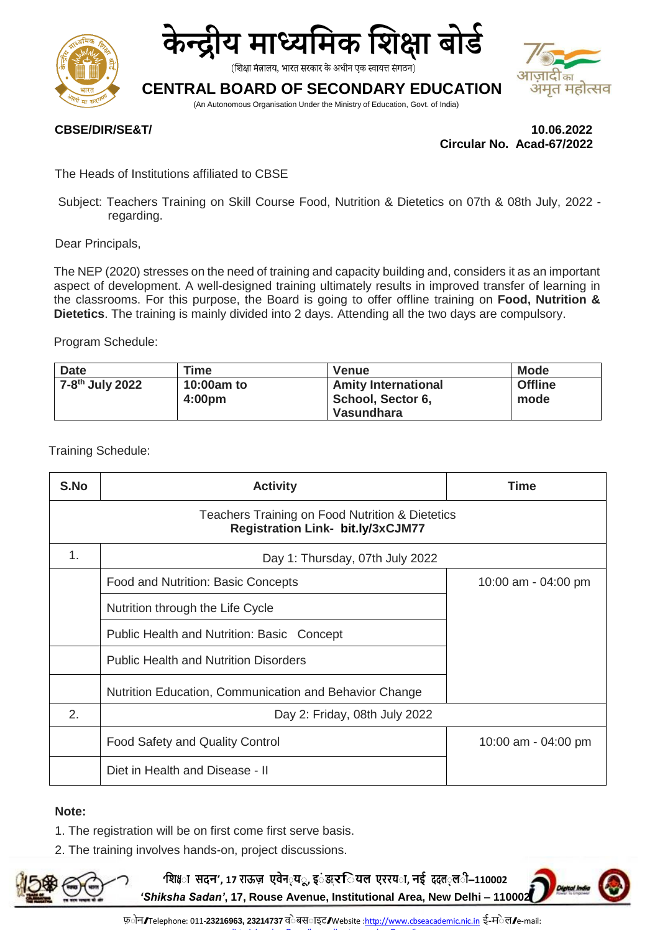



(शिक्षा मंत्रालय, भारत सरकार के अधीन एक स्वायत्त संगठन)

## **CENTRAL BOARD OF SECONDARY EDUCATION**

(An Autonomous Organisation Under the Ministry of Education, Govt. of India)



**CBSE/DIR/SE&T/ 10.06.2022 Circular No. Acad-67/2022**

The Heads of Institutions affiliated to CBSE

Subject: Teachers Training on Skill Course Food, Nutrition & Dietetics on 07th & 08th July, 2022 regarding.

Dear Principals,

The NEP (2020) stresses on the need of training and capacity building and, considers it as an important aspect of development. A well-designed training ultimately results in improved transfer of learning in the classrooms. For this purpose, the Board is going to offer offline training on **Food, Nutrition & Dietetics**. The training is mainly divided into 2 days. Attending all the two days are compulsory.

Program Schedule:

| <b>Date</b>                 | Time                             | <b>Venue</b>                                                  | <b>Mode</b>            |
|-----------------------------|----------------------------------|---------------------------------------------------------------|------------------------|
| 7-8 <sup>th</sup> July 2022 | 10:00am to<br>4:00 <sub>pm</sub> | <b>Amity International</b><br>School, Sector 6,<br>Vasundhara | <b>Offline</b><br>mode |

Training Schedule:

| S.No                                                                                        | <b>Activity</b>                                        | Time                |  |
|---------------------------------------------------------------------------------------------|--------------------------------------------------------|---------------------|--|
| Teachers Training on Food Nutrition & Dietetics<br><b>Registration Link- bit.ly/3xCJM77</b> |                                                        |                     |  |
| 1.                                                                                          | Day 1: Thursday, 07th July 2022                        |                     |  |
|                                                                                             | Food and Nutrition: Basic Concepts                     | 10:00 am - 04:00 pm |  |
|                                                                                             | Nutrition through the Life Cycle                       |                     |  |
|                                                                                             | Public Health and Nutrition: Basic Concept             |                     |  |
|                                                                                             | <b>Public Health and Nutrition Disorders</b>           |                     |  |
|                                                                                             | Nutrition Education, Communication and Behavior Change |                     |  |
| 2.                                                                                          | Day 2: Friday, 08th July 2022                          |                     |  |
|                                                                                             | Food Safety and Quality Control                        | 10:00 am - 04:00 pm |  |
|                                                                                             | Diet in Health and Disease - II                        |                     |  |

#### **Note:**

- 1. The registration will be on first come first serve basis.
- 2. The training involves hands-on, project discussions.



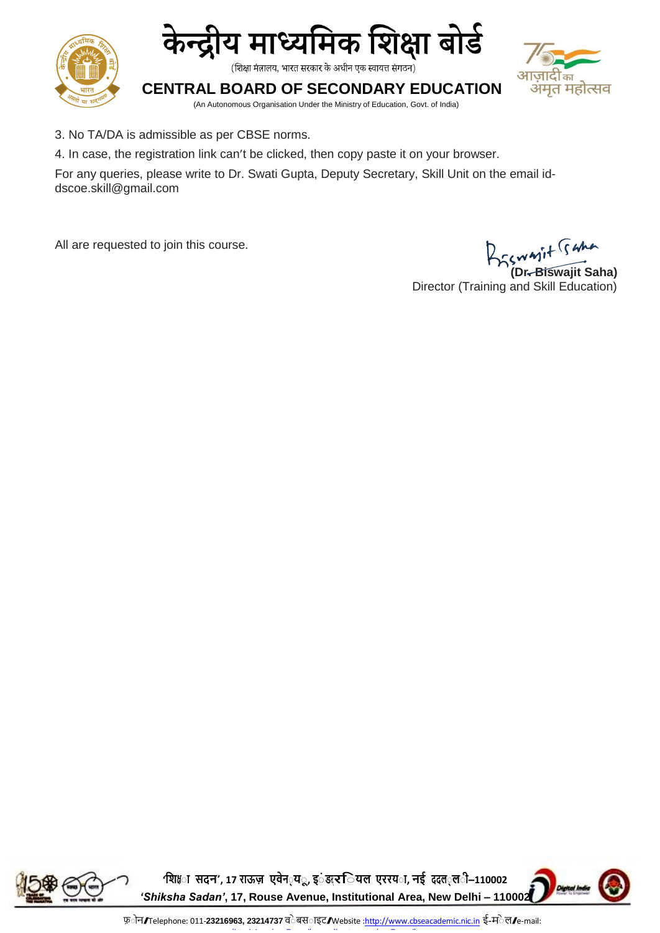



(शिक्षा मंत्रालय, भारत सरकार के अधीन एक स्वायत्त संगठन)

# ज़ादाका अमृत महोत्सव

**CENTRAL BOARD OF SECONDARY EDUCATION** (An Autonomous Organisation Under the Ministry of Education, Govt. of India)

- 3. No TA/DA is admissible as per CBSE norms.
- 4. In case, the registration link can't be clicked, then copy paste it on your browser.

For any queries, please write to Dr. Swati Gupta, Deputy Secretary, Skill Unit on the email id[dscoe.skill@gmail.com](mailto:dscoe.skill@gmail.com)

All are requested to join this course.

**(Dr. Biswajit Saha)**

Director (Training and Skill Education)